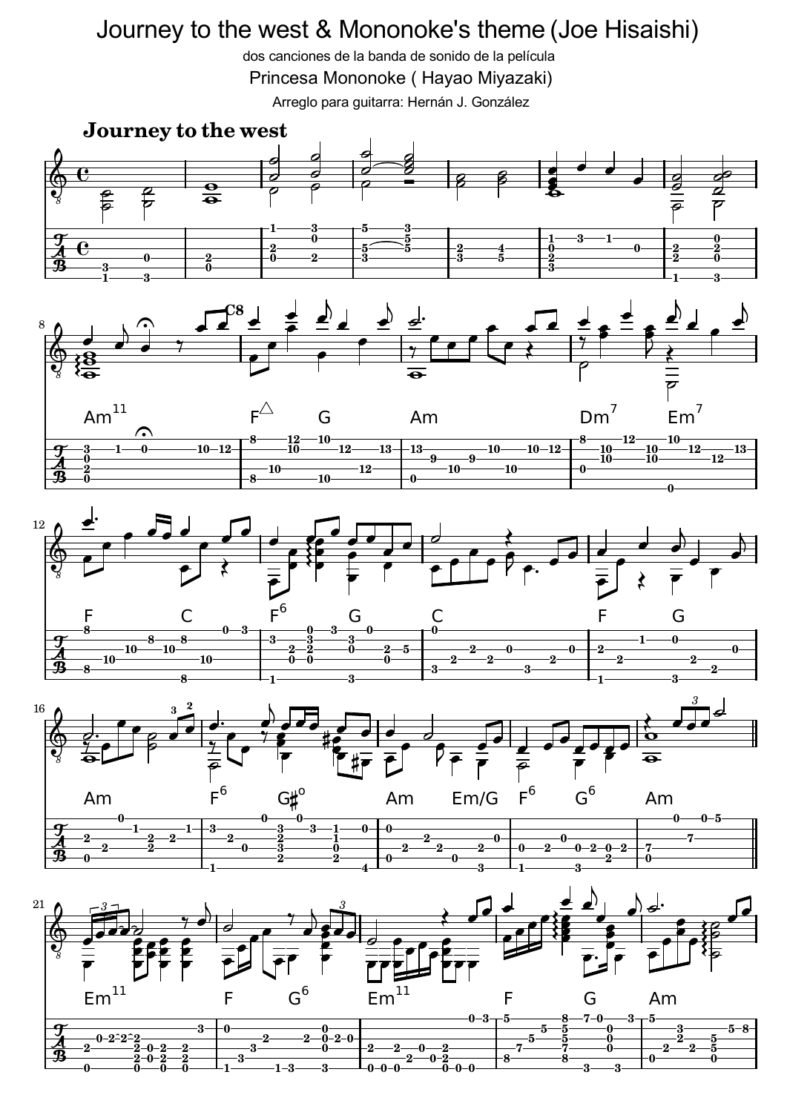## Journey to the west & Mononoke's theme (Joe Hisaishi)

dos canciones de la banda de sonido de la película

Princesa Mononoke ( Hayao Miyazaki)

Arreglo para guitarra: Hernán J. González











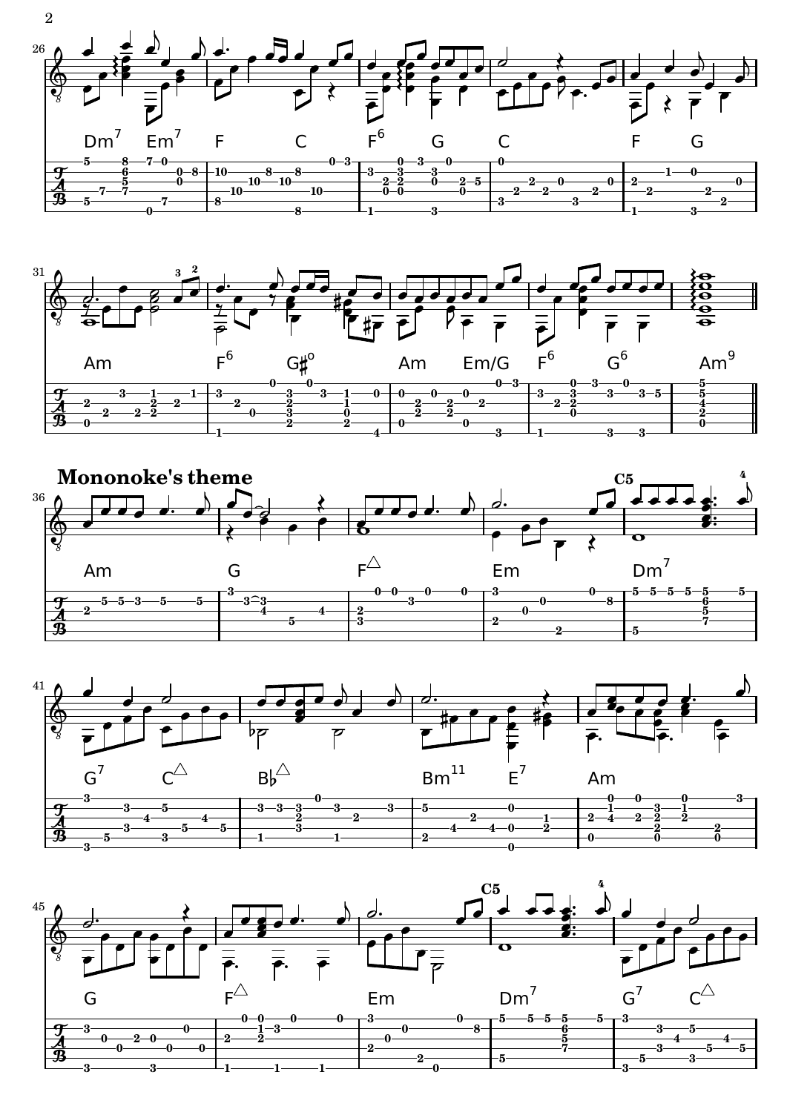